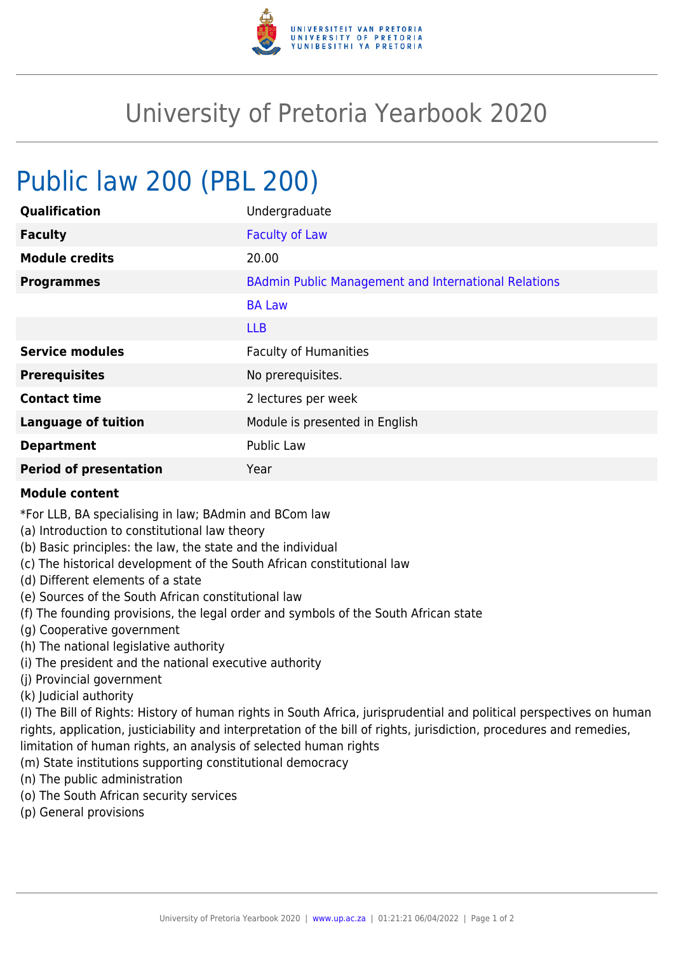

## University of Pretoria Yearbook 2020

## Public law 200 (PBL 200)

| Qualification                 | Undergraduate                                               |
|-------------------------------|-------------------------------------------------------------|
| <b>Faculty</b>                | <b>Faculty of Law</b>                                       |
| <b>Module credits</b>         | 20.00                                                       |
| <b>Programmes</b>             | <b>BAdmin Public Management and International Relations</b> |
|                               | <b>BA Law</b>                                               |
|                               | <b>LLB</b>                                                  |
| <b>Service modules</b>        | <b>Faculty of Humanities</b>                                |
| <b>Prerequisites</b>          | No prerequisites.                                           |
| <b>Contact time</b>           | 2 lectures per week                                         |
| <b>Language of tuition</b>    | Module is presented in English                              |
| <b>Department</b>             | Public Law                                                  |
| <b>Period of presentation</b> | Year                                                        |

## **Module content**

\*For LLB, BA specialising in law; BAdmin and BCom law

- (a) Introduction to constitutional law theory
- (b) Basic principles: the law, the state and the individual
- (c) The historical development of the South African constitutional law
- (d) Different elements of a state
- (e) Sources of the South African constitutional law
- (f) The founding provisions, the legal order and symbols of the South African state
- (g) Cooperative government
- (h) The national legislative authority
- (i) The president and the national executive authority
- (j) Provincial government
- (k) Judicial authority

(l) The Bill of Rights: History of human rights in South Africa, jurisprudential and political perspectives on human rights, application, justiciability and interpretation of the bill of rights, jurisdiction, procedures and remedies, limitation of human rights, an analysis of selected human rights

- (m) State institutions supporting constitutional democracy
- (n) The public administration
- (o) The South African security services
- (p) General provisions